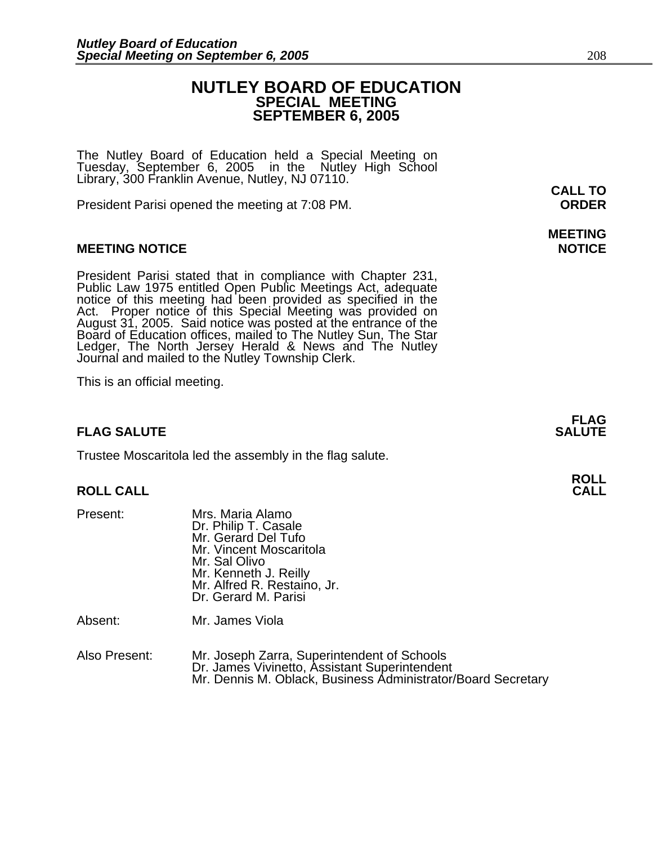## **NUTLEY BOARD OF EDUCATION SPECIAL MEETING SEPTEMBER 6, 2005**

The Nutley Board of Education held a Special Meeting on Tuesday, September 6, 2005 in the Nutley High School Library, 300 Franklin Avenue, Nutley, NJ 07110.

President Parisi opened the meeting at 7:08 PM. **ORDER**

#### **MEETING NOTICE NOTICE**

President Parisi stated that in compliance with Chapter 231,<br>Public Law 1975 entitled Open Public Meetings Act, adequate<br>notice of this meeting had been provided as specified in the<br>Act. Proper notice of this Special Meeti Board of Education offices, mailed to The Nutley Sun, The Star Ledger, The North Jersey Herald & News and The Nutley Journal and mailed to the Nutley Township Clerk.

This is an official meeting.

### **FLAG SALUTE** SALUTE

Trustee Moscaritola led the assembly in the flag salute.

#### **ROLL CALL**

| Present: | Mrs. Maria Alamo<br>Dr. Philip T. Casale<br>Mr. Gerard Del Tufo<br>Mr. Vincent Moscaritola<br>Mr. Sal Olivo<br>Mr. Kenneth J. Reilly<br>Mr. Alfred R. Restaino, Jr.<br>Dr. Gerard M. Parisi |
|----------|---------------------------------------------------------------------------------------------------------------------------------------------------------------------------------------------|
|          |                                                                                                                                                                                             |

Absent: Mr. James Viola

| Also Present: | Mr. Joseph Zarra, Superintendent of Schools                  |
|---------------|--------------------------------------------------------------|
|               | Dr. James Vivinetto, Assistant Superintendent                |
|               | Mr. Dennis M. Oblack, Business Administrator/Board Secretary |

**CALL TO** 

# **MEETING**

**FLAG**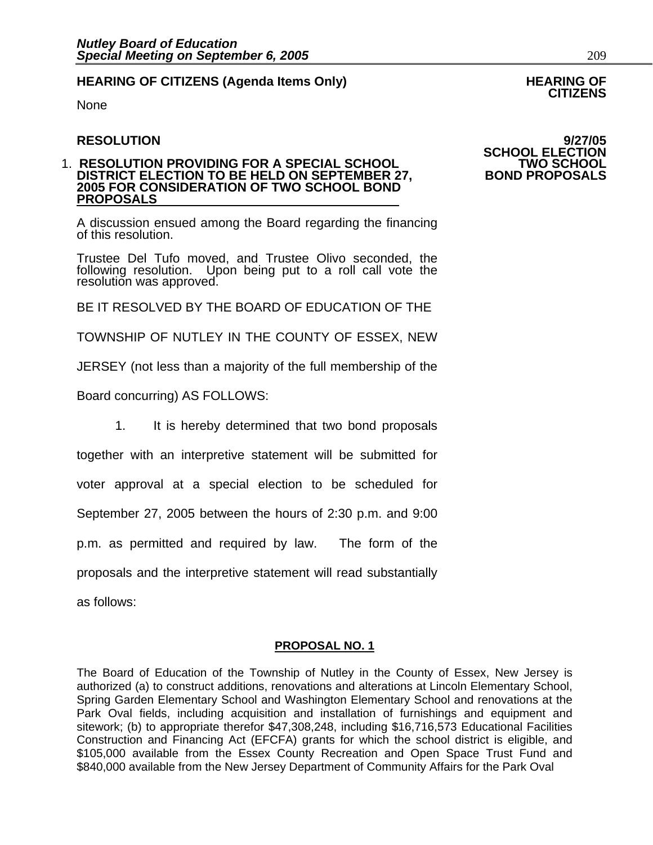## **HEARING OF CITIZENS (Agenda Items Only) HEARING OF CITIZENS**

None

#### 1. **RESOLUTION PROVIDING FOR A SPECIAL SCHOOL TWO SCHOOL DISTRICT ELECTION TO BE HELD ON SEPTEMBER 27, 2005 FOR CONSIDERATION OF TWO SCHOOL BOND PROPOSALS**

A discussion ensued among the Board regarding the financing of this resolution.

Trustee Del Tufo moved, and Trustee Olivo seconded, the following resolution. Upon being put to a roll call vote the resolution was approved.

BE IT RESOLVED BY THE BOARD OF EDUCATION OF THE

TOWNSHIP OF NUTLEY IN THE COUNTY OF ESSEX, NEW

JERSEY (not less than a majority of the full membership of the

Board concurring) AS FOLLOWS:

1. It is hereby determined that two bond proposals

together with an interpretive statement will be submitted for

voter approval at a special election to be scheduled for

September 27, 2005 between the hours of 2:30 p.m. and 9:00

p.m. as permitted and required by law. The form of the

proposals and the interpretive statement will read substantially

as follows:

#### **PROPOSAL NO. 1**

The Board of Education of the Township of Nutley in the County of Essex, New Jersey is authorized (a) to construct additions, renovations and alterations at Lincoln Elementary School, Spring Garden Elementary School and Washington Elementary School and renovations at the Park Oval fields, including acquisition and installation of furnishings and equipment and sitework; (b) to appropriate therefor \$47,308,248, including \$16,716,573 Educational Facilities Construction and Financing Act (EFCFA) grants for which the school district is eligible, and \$105,000 available from the Essex County Recreation and Open Space Trust Fund and \$840,000 available from the New Jersey Department of Community Affairs for the Park Oval

**RESOLUTION 9/27/05 SCHOOL ELECTION**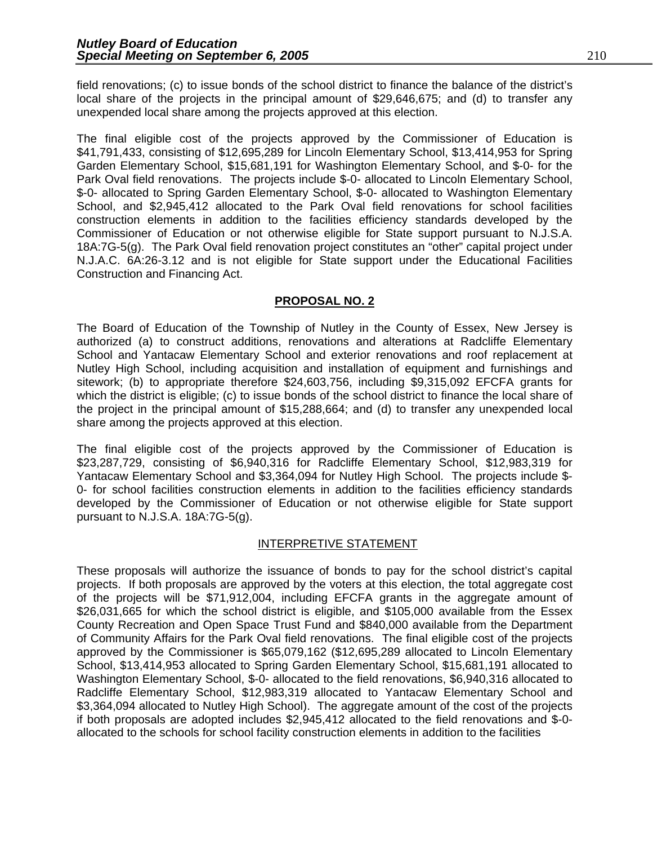field renovations; (c) to issue bonds of the school district to finance the balance of the district's local share of the projects in the principal amount of \$29,646,675; and (d) to transfer any unexpended local share among the projects approved at this election.

The final eligible cost of the projects approved by the Commissioner of Education is \$41,791,433, consisting of \$12,695,289 for Lincoln Elementary School, \$13,414,953 for Spring Garden Elementary School, \$15,681,191 for Washington Elementary School, and \$-0- for the Park Oval field renovations. The projects include \$-0- allocated to Lincoln Elementary School, \$-0- allocated to Spring Garden Elementary School, \$-0- allocated to Washington Elementary School, and \$2,945,412 allocated to the Park Oval field renovations for school facilities construction elements in addition to the facilities efficiency standards developed by the Commissioner of Education or not otherwise eligible for State support pursuant to N.J.S.A. 18A:7G-5(g). The Park Oval field renovation project constitutes an "other" capital project under N.J.A.C. 6A:26-3.12 and is not eligible for State support under the Educational Facilities Construction and Financing Act.

#### **PROPOSAL NO. 2**

The Board of Education of the Township of Nutley in the County of Essex, New Jersey is authorized (a) to construct additions, renovations and alterations at Radcliffe Elementary School and Yantacaw Elementary School and exterior renovations and roof replacement at Nutley High School, including acquisition and installation of equipment and furnishings and sitework; (b) to appropriate therefore \$24,603,756, including \$9,315,092 EFCFA grants for which the district is eligible; (c) to issue bonds of the school district to finance the local share of the project in the principal amount of \$15,288,664; and (d) to transfer any unexpended local share among the projects approved at this election.

The final eligible cost of the projects approved by the Commissioner of Education is \$23,287,729, consisting of \$6,940,316 for Radcliffe Elementary School, \$12,983,319 for Yantacaw Elementary School and \$3,364,094 for Nutley High School. The projects include \$- 0- for school facilities construction elements in addition to the facilities efficiency standards developed by the Commissioner of Education or not otherwise eligible for State support pursuant to N.J.S.A. 18A:7G-5(g).

#### INTERPRETIVE STATEMENT

These proposals will authorize the issuance of bonds to pay for the school district's capital projects. If both proposals are approved by the voters at this election, the total aggregate cost of the projects will be \$71,912,004, including EFCFA grants in the aggregate amount of \$26,031,665 for which the school district is eligible, and \$105,000 available from the Essex County Recreation and Open Space Trust Fund and \$840,000 available from the Department of Community Affairs for the Park Oval field renovations. The final eligible cost of the projects approved by the Commissioner is \$65,079,162 (\$12,695,289 allocated to Lincoln Elementary School, \$13,414,953 allocated to Spring Garden Elementary School, \$15,681,191 allocated to Washington Elementary School, \$-0- allocated to the field renovations, \$6,940,316 allocated to Radcliffe Elementary School, \$12,983,319 allocated to Yantacaw Elementary School and \$3,364,094 allocated to Nutley High School). The aggregate amount of the cost of the projects if both proposals are adopted includes \$2,945,412 allocated to the field renovations and \$-0 allocated to the schools for school facility construction elements in addition to the facilities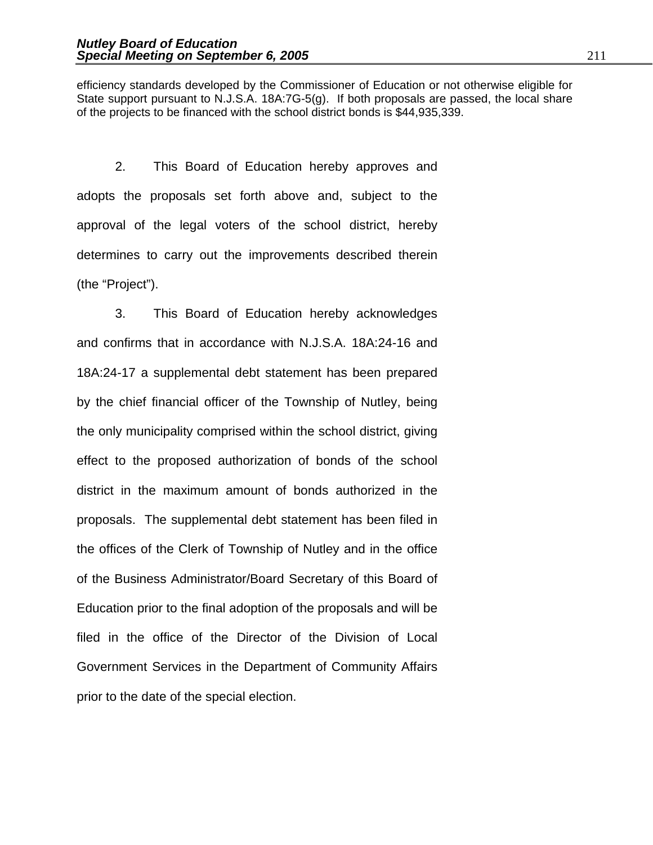efficiency standards developed by the Commissioner of Education or not otherwise eligible for State support pursuant to N.J.S.A. 18A:7G-5(g). If both proposals are passed, the local share of the projects to be financed with the school district bonds is \$44,935,339.

2. This Board of Education hereby approves and adopts the proposals set forth above and, subject to the approval of the legal voters of the school district, hereby determines to carry out the improvements described therein (the "Project").

 3. This Board of Education hereby acknowledges and confirms that in accordance with N.J.S.A. 18A:24-16 and 18A:24-17 a supplemental debt statement has been prepared by the chief financial officer of the Township of Nutley, being the only municipality comprised within the school district, giving effect to the proposed authorization of bonds of the school district in the maximum amount of bonds authorized in the proposals. The supplemental debt statement has been filed in the offices of the Clerk of Township of Nutley and in the office of the Business Administrator/Board Secretary of this Board of Education prior to the final adoption of the proposals and will be filed in the office of the Director of the Division of Local Government Services in the Department of Community Affairs prior to the date of the special election.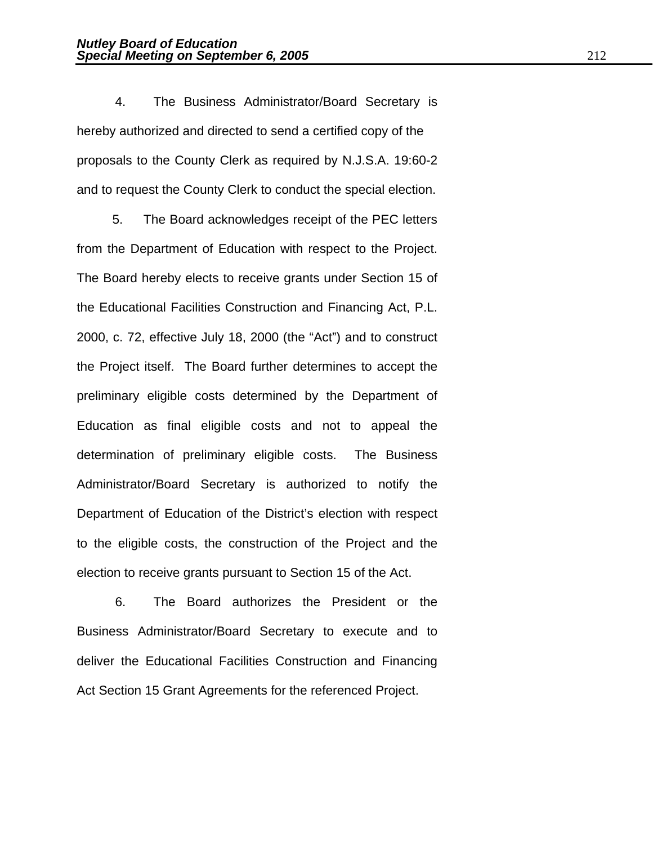4. The Business Administrator/Board Secretary is hereby authorized and directed to send a certified copy of the proposals to the County Clerk as required by N.J.S.A. 19:60-2 and to request the County Clerk to conduct the special election.

 5. The Board acknowledges receipt of the PEC letters from the Department of Education with respect to the Project. The Board hereby elects to receive grants under Section 15 of the Educational Facilities Construction and Financing Act, P.L. 2000, c. 72, effective July 18, 2000 (the "Act") and to construct the Project itself. The Board further determines to accept the preliminary eligible costs determined by the Department of Education as final eligible costs and not to appeal the determination of preliminary eligible costs. The Business Administrator/Board Secretary is authorized to notify the Department of Education of the District's election with respect to the eligible costs, the construction of the Project and the election to receive grants pursuant to Section 15 of the Act.

 6. The Board authorizes the President or the Business Administrator/Board Secretary to execute and to deliver the Educational Facilities Construction and Financing Act Section 15 Grant Agreements for the referenced Project.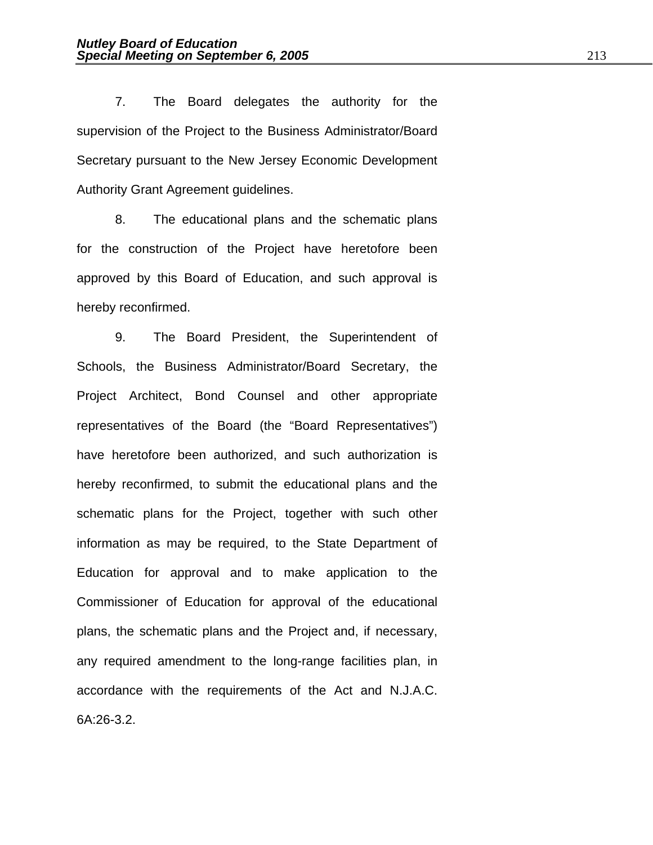7. The Board delegates the authority for the supervision of the Project to the Business Administrator/Board Secretary pursuant to the New Jersey Economic Development Authority Grant Agreement guidelines.

 8. The educational plans and the schematic plans for the construction of the Project have heretofore been approved by this Board of Education, and such approval is hereby reconfirmed.

 9. The Board President, the Superintendent of Schools, the Business Administrator/Board Secretary, the Project Architect, Bond Counsel and other appropriate representatives of the Board (the "Board Representatives") have heretofore been authorized, and such authorization is hereby reconfirmed, to submit the educational plans and the schematic plans for the Project, together with such other information as may be required, to the State Department of Education for approval and to make application to the Commissioner of Education for approval of the educational plans, the schematic plans and the Project and, if necessary, any required amendment to the long-range facilities plan, in accordance with the requirements of the Act and N.J.A.C. 6A:26-3.2.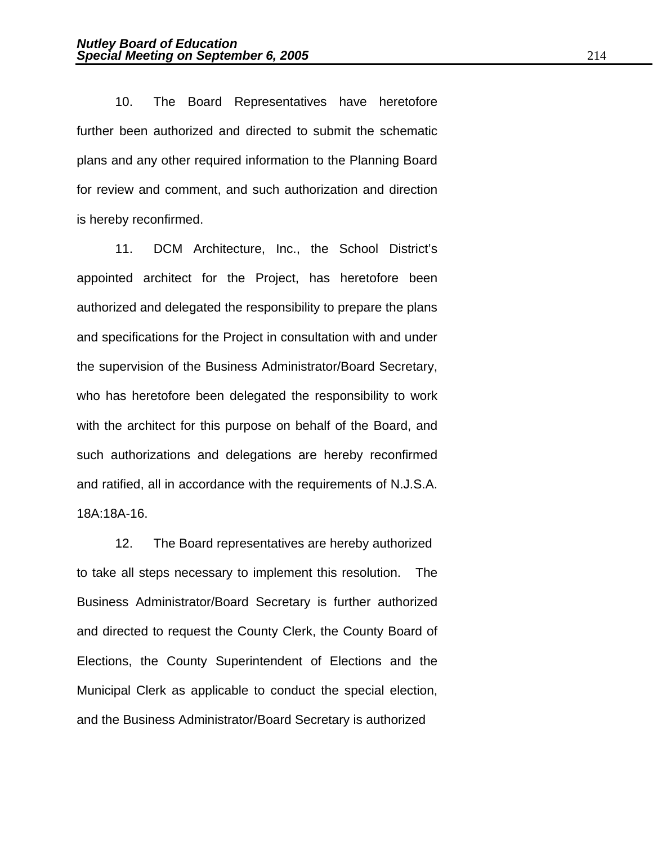10. The Board Representatives have heretofore further been authorized and directed to submit the schematic plans and any other required information to the Planning Board for review and comment, and such authorization and direction is hereby reconfirmed.

 11. DCM Architecture, Inc., the School District's appointed architect for the Project, has heretofore been authorized and delegated the responsibility to prepare the plans and specifications for the Project in consultation with and under the supervision of the Business Administrator/Board Secretary, who has heretofore been delegated the responsibility to work with the architect for this purpose on behalf of the Board, and such authorizations and delegations are hereby reconfirmed and ratified, all in accordance with the requirements of N.J.S.A. 18A:18A-16.

12. The Board representatives are hereby authorized to take all steps necessary to implement this resolution. The Business Administrator/Board Secretary is further authorized and directed to request the County Clerk, the County Board of Elections, the County Superintendent of Elections and the Municipal Clerk as applicable to conduct the special election, and the Business Administrator/Board Secretary is authorized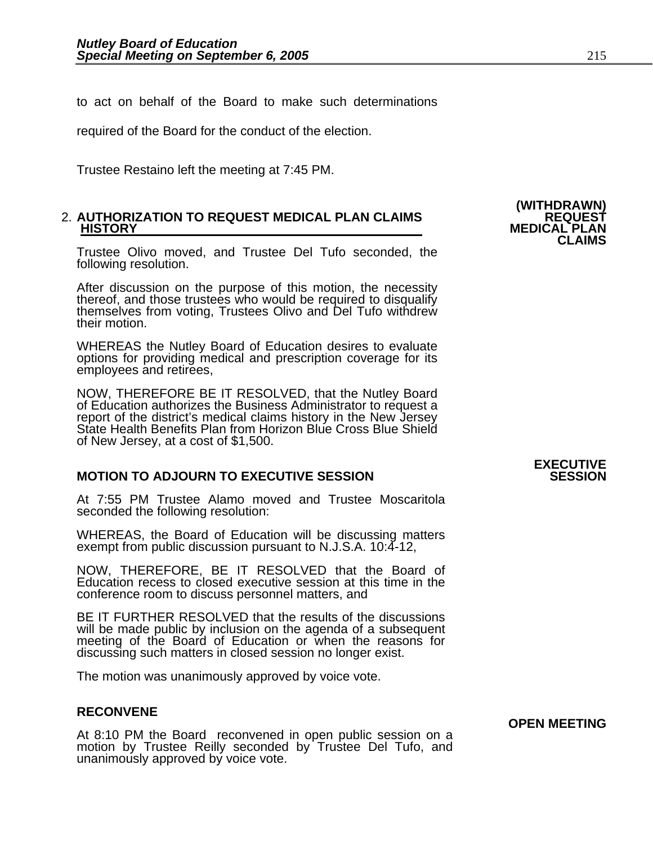to act on behalf of the Board to make such determinations

required of the Board for the conduct of the election.

Trustee Restaino left the meeting at 7:45 PM.

## 2. **AUTHORIZATION TO REQUEST MEDICAL PLAN CLAIMS REQUEST HISTORY MEDICAL PLAN CLAIMS**

Trustee Olivo moved, and Trustee Del Tufo seconded, the following resolution.

After discussion on the purpose of this motion, the necessity thereof, and those trustees who would be required to disqualify themselves from voting, Trustees Olivo and Del Tufo withdrew their motion.

WHEREAS the Nutley Board of Education desires to evaluate options for providing medical and prescription coverage for its employees and retirees,

NOW, THEREFORE BE IT RESOLVED, that the Nutley Board<br>of Education authorizes the Business Administrator to request a<br>report of the district's medical claims history in the New Jersey<br>State Health Benefits Plan from Horizon of New Jersey, at a cost of \$1,500.

#### **MOTION TO ADJOURN TO EXECUTIVE SESSION**

At 7:55 PM Trustee Alamo moved and Trustee Moscaritola seconded the following resolution:

WHEREAS, the Board of Education will be discussing matters exempt from public discussion pursuant to N.J.S.A. 10:4-12,

NOW, THEREFORE, BE IT RESOLVED that the Board of Education recess to closed executive session at this time in the conference room to discuss personnel matters, and

BE IT FURTHER RESOLVED that the results of the discussions will be made public by inclusion on the agenda of a subsequent will be made public by included of a subsequent meeting of the Board of Education or when the reasons for discussing such matters in closed session no longer exist.

The motion was unanimously approved by voice vote.

#### **RECONVENE**

At 8:10 PM the Board reconvened in open public session on a motion by Trustee Reilly seconded by Trustee Del Tufo, and unanimously approved by voice vote.

# **(WITHDRAWN)**

# **EXECUTIVE**